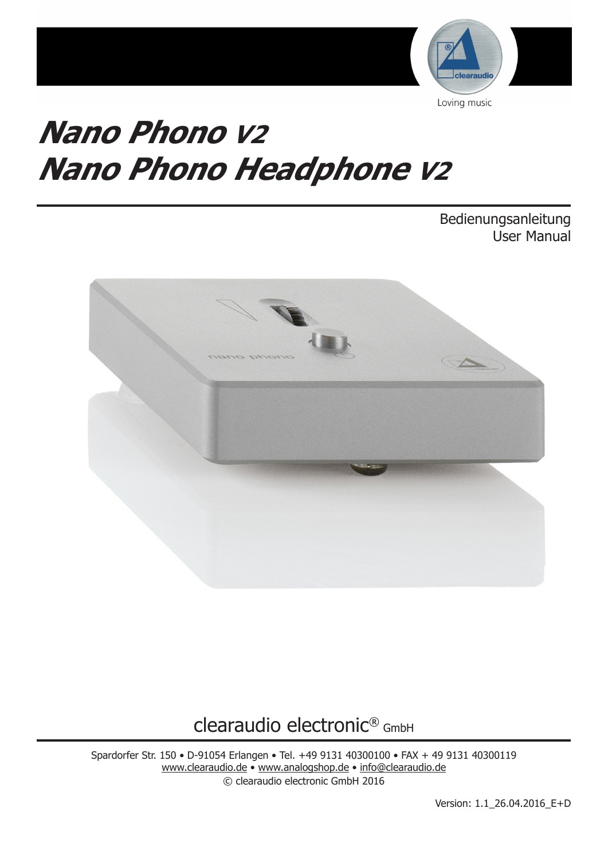

# **Nano Phono V2 Nano Phono Headphone V2**

Bedienungsanleitung User Manual



clearaudio electronic® GmbH

Spardorfer Str. 150 • D-91054 Erlangen • Tel. +49 9131 40300100 • FAX + 49 9131 40300119 www.clearaudio.de • www.analogshop.de • info@clearaudio.de © clearaudio electronic GmbH 2016

Version: 1.1\_26.04.2016\_E+D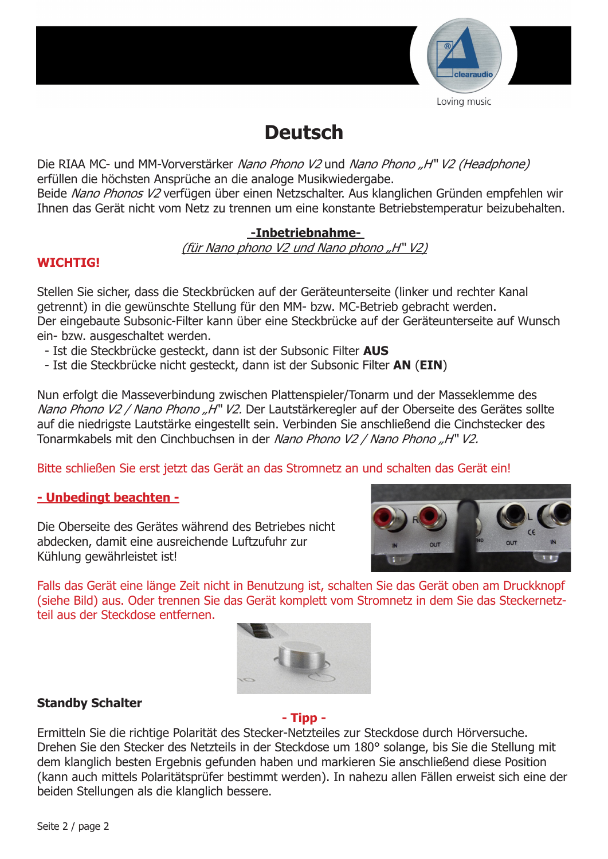

## **Deutsch**

Die RIAA MC- und MM-Vorverstärker Nano Phono V2 und Nano Phono "H" V2 (Headphone) erfüllen die höchsten Ansprüche an die analoge Musikwiedergabe.

Beide Nano Phonos V2 verfügen über einen Netzschalter. Aus klanglichen Gründen empfehlen wir Ihnen das Gerät nicht vom Netz zu trennen um eine konstante Betriebstemperatur beizubehalten.

## **-Inbetriebnahme-**

(für Nano phono V2 und Nano phono "H" V2)

## **WICHTIG!**

Stellen Sie sicher, dass die Steckbrücken auf der Geräteunterseite (linker und rechter Kanal getrennt) in die gewünschte Stellung für den MM- bzw. MC-Betrieb gebracht werden. Der eingebaute Subsonic-Filter kann über eine Steckbrücke auf der Geräteunterseite auf Wunsch ein- bzw. ausgeschaltet werden.

- Ist die Steckbrücke gesteckt, dann ist der Subsonic Filter **AUS**
- Ist die Steckbrücke nicht gesteckt, dann ist der Subsonic Filter **AN** (**EIN**)

Nun erfolgt die Masseverbindung zwischen Plattenspieler/Tonarm und der Masseklemme des Nano Phono V2 / Nano Phono "H" V2. Der Lautstärkeregler auf der Oberseite des Gerätes sollte auf die niedrigste Lautstärke eingestellt sein. Verbinden Sie anschließend die Cinchstecker des Tonarmkabels mit den Cinchbuchsen in der Nano Phono V2 / Nano Phono "H" V2.

Bitte schließen Sie erst jetzt das Gerät an das Stromnetz an und schalten das Gerät ein!

## **- Unbedingt beachten -**

Die Oberseite des Gerätes während des Betriebes nicht abdecken, damit eine ausreichende Luftzufuhr zur Kühlung gewährleistet ist!



Falls das Gerät eine länge Zeit nicht in Benutzung ist, schalten Sie das Gerät oben am Druckknopf (siehe Bild) aus. Oder trennen Sie das Gerät komplett vom Stromnetz in dem Sie das Steckernetzteil aus der Steckdose entfernen.



## **Standby Schalter**

## **- Tipp -**

Ermitteln Sie die richtige Polarität des Stecker-Netzteiles zur Steckdose durch Hörversuche. Drehen Sie den Stecker des Netzteils in der Steckdose um 180° solange, bis Sie die Stellung mit dem klanglich besten Ergebnis gefunden haben und markieren Sie anschließend diese Position (kann auch mittels Polaritätsprüfer bestimmt werden). In nahezu allen Fällen erweist sich eine der beiden Stellungen als die klanglich bessere.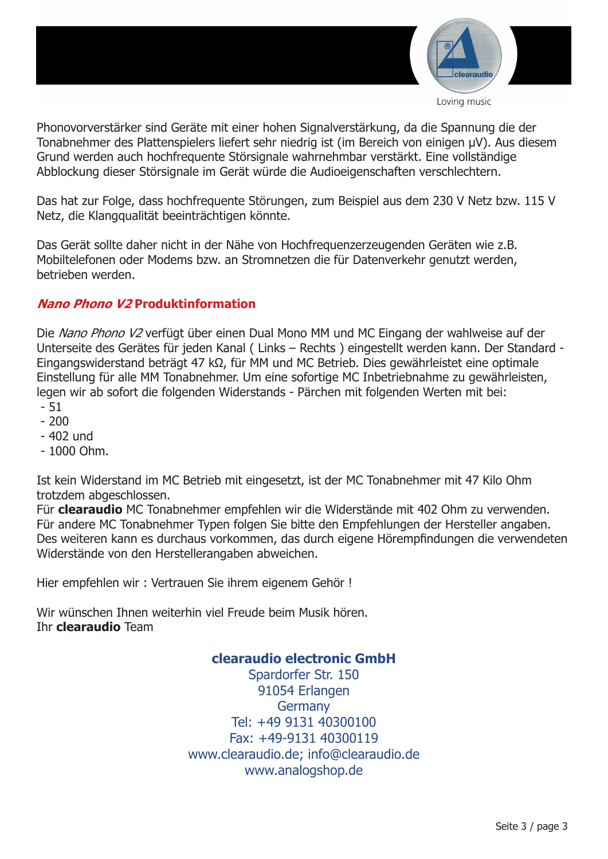

Phonovorverstärker sind Geräte mit einer hohen Signalverstärkung, da die Spannung die der Tonabnehmer des Plattenspielers liefert sehr niedrig ist (im Bereich von einigen µV). Aus diesem Grund werden auch hochfrequente Störsignale wahrnehmbar verstärkt. Eine vollständige Abblockung dieser Störsignale im Gerät würde die Audioeigenschaften verschlechtern.

Das hat zur Folge, dass hochfrequente Störungen, zum Beispiel aus dem 230 V Netz bzw. 115 V Netz, die Klangqualität beeinträchtigen könnte.

Das Gerät sollte daher nicht in der Nähe von Hochfrequenzerzeugenden Geräten wie z.B. Mobiltelefonen oder Modems bzw. an Stromnetzen die für Datenverkehr genutzt werden, betrieben werden.

## **Nano Phono V2 Produktinformation**

Die Nano Phono V2 verfügt über einen Dual Mono MM und MC Eingang der wahlweise auf der Unterseite des Gerätes für jeden Kanal ( Links – Rechts ) eingestellt werden kann. Der Standard - Eingangswiderstand beträgt 47 kΩ, für MM und MC Betrieb. Dies gewährleistet eine optimale Einstellung für alle MM Tonabnehmer. Um eine sofortige MC Inbetriebnahme zu gewährleisten, legen wir ab sofort die folgenden Widerstands - Pärchen mit folgenden Werten mit bei:

- 51
- $-200$
- 402 und
- $-1000$  Ohm.

Ist kein Widerstand im MC Betrieb mit eingesetzt, ist der MC Tonabnehmer mit 47 Kilo Ohm trotzdem abgeschlossen.

Für **clearaudio** MC Tonabnehmer empfehlen wir die Widerstände mit 402 Ohm zu verwenden. Für andere MC Tonabnehmer Typen folgen Sie bitte den Empfehlungen der Hersteller angaben. Des weiteren kann es durchaus vorkommen, das durch eigene Hörempfindungen die verwendeten Widerstände von den Herstellerangaben abweichen.

Hier empfehlen wir : Vertrauen Sie ihrem eigenem Gehör !

Wir wünschen Ihnen weiterhin viel Freude beim Musik hören. Ihr **clearaudio** Team

## **clearaudio electronic GmbH**

Spardorfer Str. 150 91054 Erlangen **Germany** Tel: +49 9131 40300100 Fax: +49-9131 40300119 www.clearaudio.de; info@clearaudio.de www.analogshop.de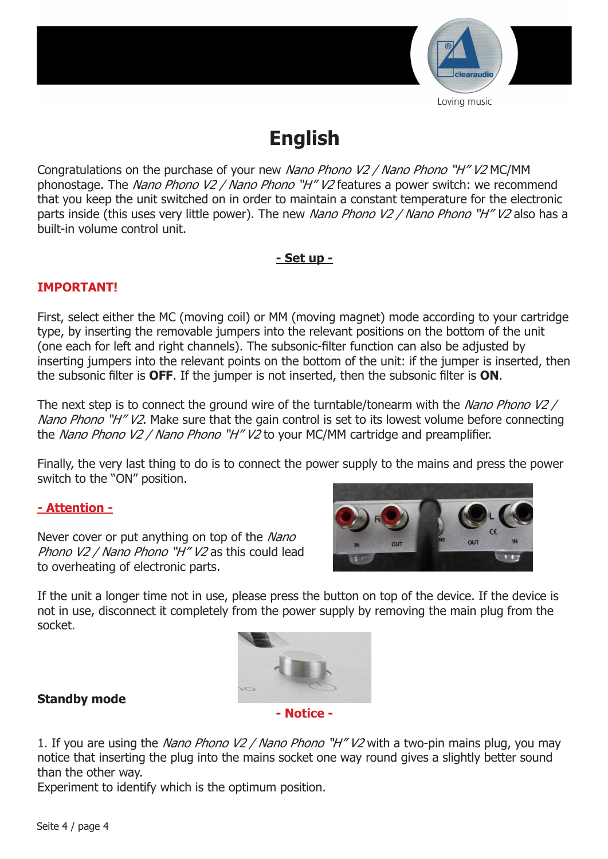

## **English**

Congratulations on the purchase of your new Nano Phono V2 / Nano Phono "H" V2 MC/MM phonostage. The Nano Phono V2 / Nano Phono "H" V2 features a power switch: we recommend that you keep the unit switched on in order to maintain a constant temperature for the electronic parts inside (this uses very little power). The new Nano Phono V2 / Nano Phono "H" V2 also has a built-in volume control unit.

## **- Set up -**

## **IMPORTANT!**

First, select either the MC (moving coil) or MM (moving magnet) mode according to your cartridge type, by inserting the removable jumpers into the relevant positions on the bottom of the unit (one each for left and right channels). The subsonic-filter function can also be adjusted by inserting jumpers into the relevant points on the bottom of the unit: if the jumper is inserted, then the subsonic filter is **OFF**. If the jumper is not inserted, then the subsonic filter is **ON**.

The next step is to connect the ground wire of the turntable/tonearm with the Nano Phono V2 / Nano Phono "H" V2. Make sure that the gain control is set to its lowest volume before connecting the Nano Phono V2 / Nano Phono "H" V2 to your MC/MM cartridge and preamplifier.

Finally, the very last thing to do is to connect the power supply to the mains and press the power switch to the "ON" position.

## **- Attention -**

Never cover or put anything on top of the Nano Phono V2 / Nano Phono "H" V2 as this could lead to overheating of electronic parts.



If the unit a longer time not in use, please press the button on top of the device. If the device is not in use, disconnect it completely from the power supply by removing the main plug from the socket.



## **Standby mode**

1. If you are using the Nano Phono V2 / Nano Phono "H" V2 with a two-pin mains plug, you may notice that inserting the plug into the mains socket one way round gives a slightly better sound than the other way.

Experiment to identify which is the optimum position.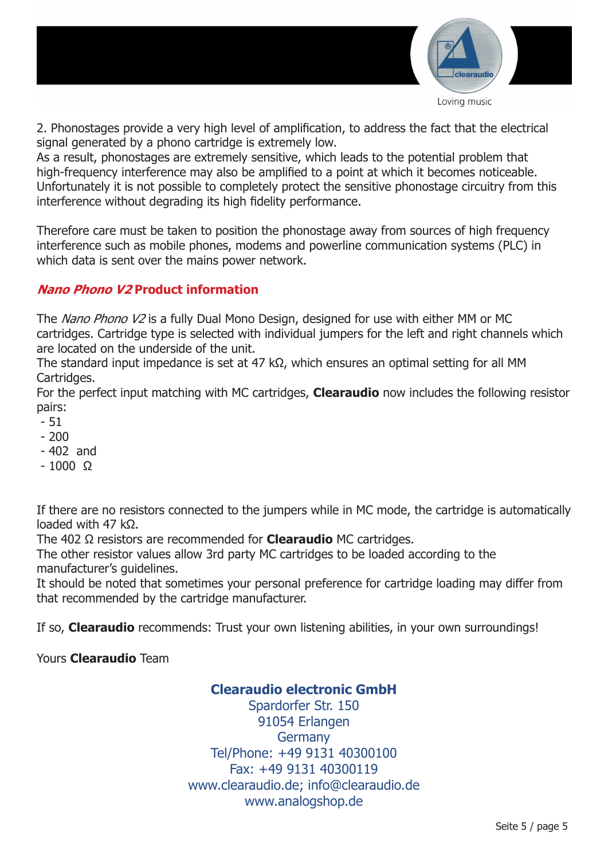

2. Phonostages provide a very high level of amplification, to address the fact that the electrical signal generated by a phono cartridge is extremely low.

As a result, phonostages are extremely sensitive, which leads to the potential problem that high-frequency interference may also be amplified to a point at which it becomes noticeable. Unfortunately it is not possible to completely protect the sensitive phonostage circuitry from this interference without degrading its high fidelity performance.

Therefore care must be taken to position the phonostage away from sources of high frequency interference such as mobile phones, modems and powerline communication systems (PLC) in which data is sent over the mains power network.

## **Nano Phono V2 Product information**

The Nano Phono V2 is a fully Dual Mono Design, designed for use with either MM or MC cartridges. Cartridge type is selected with individual jumpers for the left and right channels which are located on the underside of the unit.

The standard input impedance is set at 47 kΩ, which ensures an optimal setting for all MM Cartridges.

For the perfect input matching with MC cartridges, **Clearaudio** now includes the following resistor pairs:

- 51
- $-200$
- 402 and
- $-1000$  Q

If there are no resistors connected to the jumpers while in MC mode, the cartridge is automatically loaded with 47 kΩ.

The 402 Ω resistors are recommended for **Clearaudio** MC cartridges.

The other resistor values allow 3rd party MC cartridges to be loaded according to the manufacturer's guidelines.

It should be noted that sometimes your personal preference for cartridge loading may differ from that recommended by the cartridge manufacturer.

If so, **Clearaudio** recommends: Trust your own listening abilities, in your own surroundings!

Yours **Clearaudio** Team

## **Clearaudio electronic GmbH**

Spardorfer Str. 150 91054 Erlangen **Germany** Tel/Phone: +49 9131 40300100 Fax: +49 9131 40300119 www.clearaudio.de; info@clearaudio.de www.analogshop.de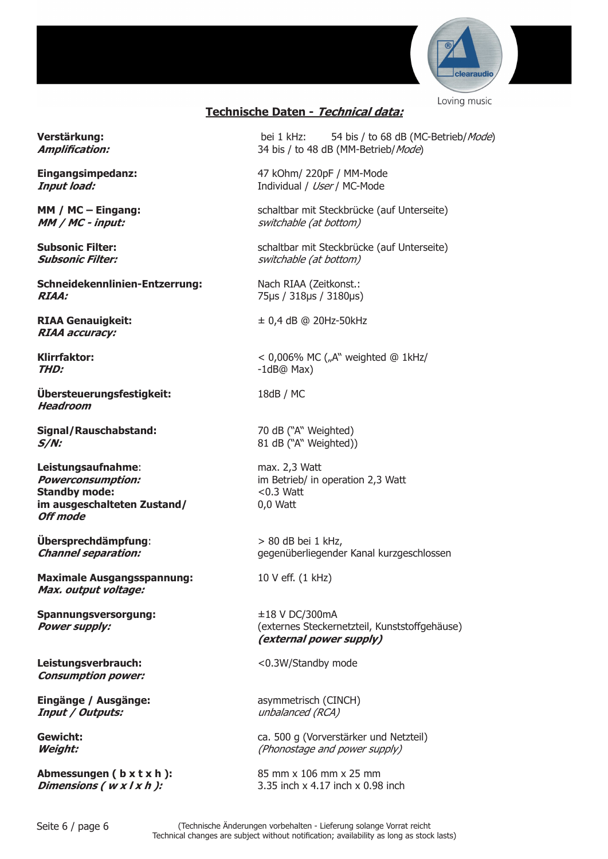

## **Technische Daten - Technical data:**

**Schneidekennlinien-Entzerrung:** Nach RIAA (Zeitkonst.: **RIAA:** 75µs / 318µs / 3180µs)

**RIAA accuracy:**

**Übersteuerungsfestigkeit:** 18dB / MC **Headroom**

**Signal/Rauschabstand:** 70 dB ("A" Weighted) **S/N:** 81 dB ("A" Weighted))

**Leistungsaufnahme**: max. 2,3 Watt **Standby mode:** <0.3 Watt **im ausgeschalteten Zustand/** 0,0 Watt **Off mode**

**Übersprechdämpfung**: > 80 dB bei 1 kHz,

**Maximale Ausgangsspannung:** 10 V eff. (1 kHz) **Max. output voltage:**

**Spannungsversorgung:** ±18 V DC/300mA

Leistungsverbrauch: <0.3W/Standby mode **Consumption power:**

**Eingänge / Ausgänge:** asymmetrisch (CINCH) **Input / Outputs:** and the unbalanced (RCA)

**Abmessungen ( b x t x h ):** 85 mm x 106 mm x 25 mm

**Verstärkung:** bei 1 kHz: 54 bis / to 68 dB (MC-Betrieb/Mode) **Amplification:** 34 bis / to 48 dB (MM-Betrieb/Mode)

**Eingangsimpedanz:** 47 kOhm/ 220pF / MM-Mode **Input load:** Individual / User / MC-Mode

**MM / MC – Eingang:** schaltbar mit Steckbrücke (auf Unterseite) **MM / MC - input:**  $\qquad \qquad \qquad$  switchable (at bottom)

**Subsonic Filter:** schaltbar mit Steckbrücke (auf Unterseite) **Subsonic Filter:** switchable (at bottom)

**RIAA Genauigkeit:** ± 0,4 dB @ 20Hz-50kHz

**Klirrfaktor:**  $\leq 0.006\%$  MC ("A" weighted @ 1kHz/ **THD:** -1dB@ Max)

**Powerconsumption: im Betrieb/ in operation 2,3 Watt** 

**Channel separation:** Gegenüberliegender Kanal kurzgeschlossen

**Power supply:** (externes Steckernetzteil, Kunststoffgehäuse) **(external power supply)**

**Gewicht: ca.** 500 g (Vorverstärker und Netzteil) **Weight:**  $W$ **Weight:**  $(Phonostage and power supply)$ 

**Dimensions (** w x l x h ): 3.35 inch x 4.17 inch x 0.98 inch